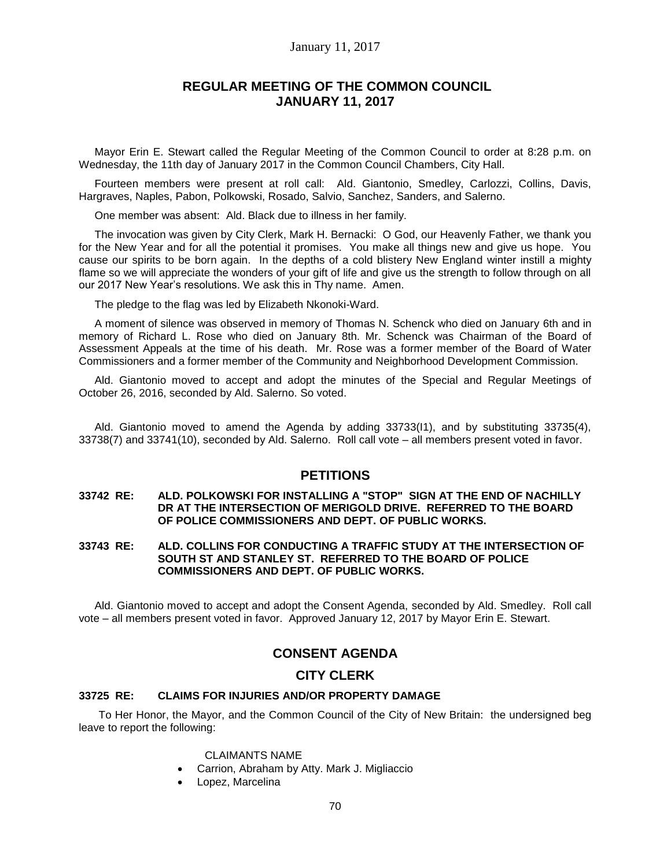## January 11, 2017

# **REGULAR MEETING OF THE COMMON COUNCIL JANUARY 11, 2017**

Mayor Erin E. Stewart called the Regular Meeting of the Common Council to order at 8:28 p.m. on Wednesday, the 11th day of January 2017 in the Common Council Chambers, City Hall.

Fourteen members were present at roll call: Ald. Giantonio, Smedley, Carlozzi, Collins, Davis, Hargraves, Naples, Pabon, Polkowski, Rosado, Salvio, Sanchez, Sanders, and Salerno.

One member was absent: Ald. Black due to illness in her family.

The invocation was given by City Clerk, Mark H. Bernacki: O God, our Heavenly Father, we thank you for the New Year and for all the potential it promises. You make all things new and give us hope. You cause our spirits to be born again. In the depths of a cold blistery New England winter instill a mighty flame so we will appreciate the wonders of your gift of life and give us the strength to follow through on all our 2017 New Year's resolutions. We ask this in Thy name. Amen.

The pledge to the flag was led by Elizabeth Nkonoki-Ward.

A moment of silence was observed in memory of Thomas N. Schenck who died on January 6th and in memory of Richard L. Rose who died on January 8th. Mr. Schenck was Chairman of the Board of Assessment Appeals at the time of his death. Mr. Rose was a former member of the Board of Water Commissioners and a former member of the Community and Neighborhood Development Commission.

Ald. Giantonio moved to accept and adopt the minutes of the Special and Regular Meetings of October 26, 2016, seconded by Ald. Salerno. So voted.

Ald. Giantonio moved to amend the Agenda by adding 33733(I1), and by substituting 33735(4), 33738(7) and 33741(10), seconded by Ald. Salerno. Roll call vote – all members present voted in favor.

# **PETITIONS**

### **33742 RE: ALD. POLKOWSKI FOR INSTALLING A "STOP" SIGN AT THE END OF NACHILLY DR AT THE INTERSECTION OF MERIGOLD DRIVE. REFERRED TO THE BOARD OF POLICE COMMISSIONERS AND DEPT. OF PUBLIC WORKS.**

**33743 RE: ALD. COLLINS FOR CONDUCTING A TRAFFIC STUDY AT THE INTERSECTION OF SOUTH ST AND STANLEY ST. REFERRED TO THE BOARD OF POLICE COMMISSIONERS AND DEPT. OF PUBLIC WORKS.**

Ald. Giantonio moved to accept and adopt the Consent Agenda, seconded by Ald. Smedley. Roll call vote – all members present voted in favor. Approved January 12, 2017 by Mayor Erin E. Stewart.

# **CONSENT AGENDA**

# **CITY CLERK**

# **33725 RE: CLAIMS FOR INJURIES AND/OR PROPERTY DAMAGE**

To Her Honor, the Mayor, and the Common Council of the City of New Britain: the undersigned beg leave to report the following:

### CLAIMANTS NAME

- Carrion, Abraham by Atty. Mark J. Migliaccio
- Lopez, Marcelina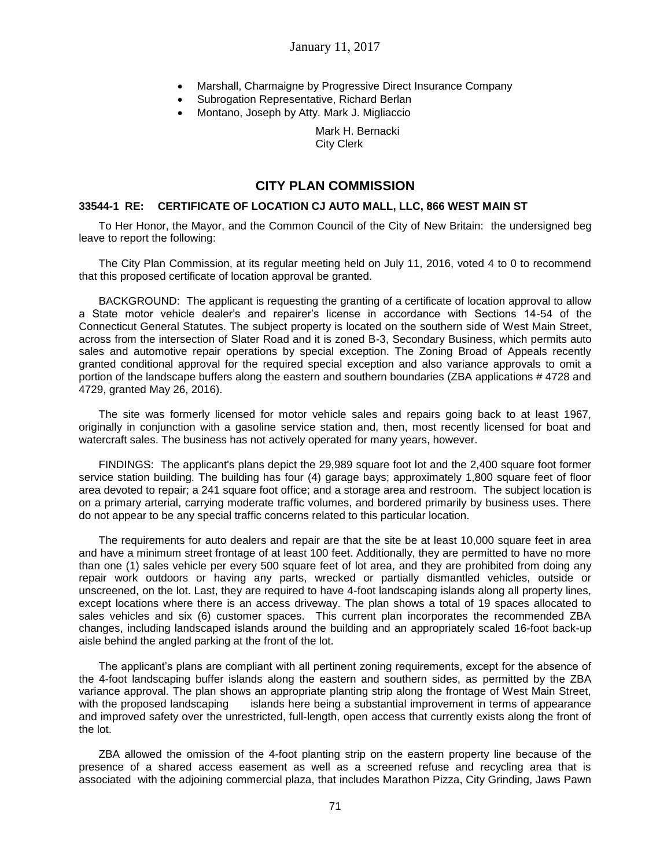- Marshall, Charmaigne by Progressive Direct Insurance Company
- Subrogation Representative, Richard Berlan
- Montano, Joseph by Atty. Mark J. Migliaccio

Mark H. Bernacki City Clerk

# **CITY PLAN COMMISSION**

## **33544-1 RE: CERTIFICATE OF LOCATION CJ AUTO MALL, LLC, 866 WEST MAIN ST**

To Her Honor, the Mayor, and the Common Council of the City of New Britain: the undersigned beg leave to report the following:

The City Plan Commission, at its regular meeting held on July 11, 2016, voted 4 to 0 to recommend that this proposed certificate of location approval be granted.

BACKGROUND: The applicant is requesting the granting of a certificate of location approval to allow a State motor vehicle dealer's and repairer's license in accordance with Sections 14-54 of the Connecticut General Statutes. The subject property is located on the southern side of West Main Street, across from the intersection of Slater Road and it is zoned B-3, Secondary Business, which permits auto sales and automotive repair operations by special exception. The Zoning Broad of Appeals recently granted conditional approval for the required special exception and also variance approvals to omit a portion of the landscape buffers along the eastern and southern boundaries (ZBA applications # 4728 and 4729, granted May 26, 2016).

The site was formerly licensed for motor vehicle sales and repairs going back to at least 1967, originally in conjunction with a gasoline service station and, then, most recently licensed for boat and watercraft sales. The business has not actively operated for many years, however.

FINDINGS: The applicant's plans depict the 29,989 square foot lot and the 2,400 square foot former service station building. The building has four (4) garage bays; approximately 1,800 square feet of floor area devoted to repair; a 241 square foot office; and a storage area and restroom. The subject location is on a primary arterial, carrying moderate traffic volumes, and bordered primarily by business uses. There do not appear to be any special traffic concerns related to this particular location.

The requirements for auto dealers and repair are that the site be at least 10,000 square feet in area and have a minimum street frontage of at least 100 feet. Additionally, they are permitted to have no more than one (1) sales vehicle per every 500 square feet of lot area, and they are prohibited from doing any repair work outdoors or having any parts, wrecked or partially dismantled vehicles, outside or unscreened, on the lot. Last, they are required to have 4-foot landscaping islands along all property lines, except locations where there is an access driveway. The plan shows a total of 19 spaces allocated to sales vehicles and six (6) customer spaces. This current plan incorporates the recommended ZBA changes, including landscaped islands around the building and an appropriately scaled 16-foot back-up aisle behind the angled parking at the front of the lot.

The applicant's plans are compliant with all pertinent zoning requirements, except for the absence of the 4-foot landscaping buffer islands along the eastern and southern sides, as permitted by the ZBA variance approval. The plan shows an appropriate planting strip along the frontage of West Main Street, with the proposed landscaping islands here being a substantial improvement in terms of appearance and improved safety over the unrestricted, full-length, open access that currently exists along the front of the lot.

ZBA allowed the omission of the 4-foot planting strip on the eastern property line because of the presence of a shared access easement as well as a screened refuse and recycling area that is associated with the adjoining commercial plaza, that includes Marathon Pizza, City Grinding, Jaws Pawn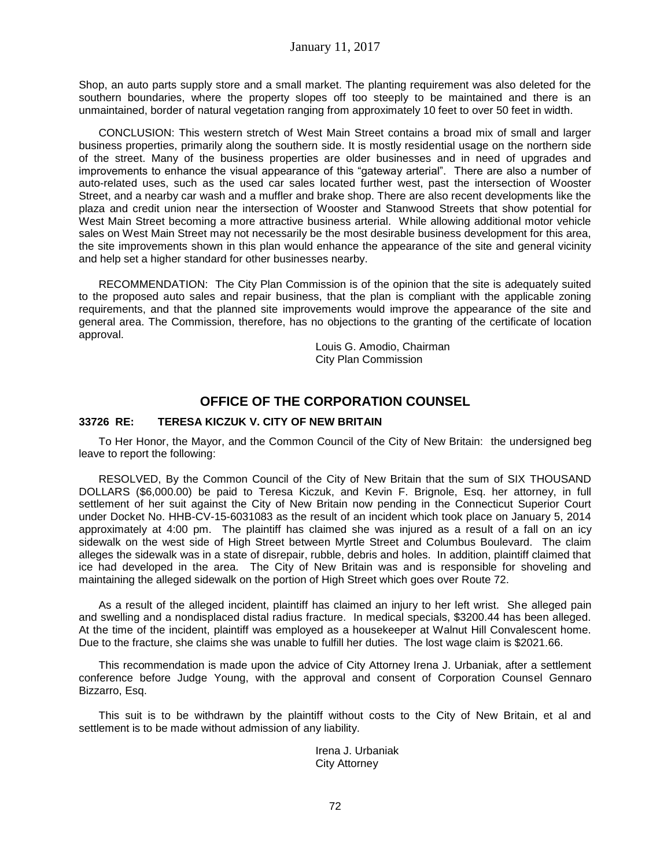Shop, an auto parts supply store and a small market. The planting requirement was also deleted for the southern boundaries, where the property slopes off too steeply to be maintained and there is an unmaintained, border of natural vegetation ranging from approximately 10 feet to over 50 feet in width.

CONCLUSION: This western stretch of West Main Street contains a broad mix of small and larger business properties, primarily along the southern side. It is mostly residential usage on the northern side of the street. Many of the business properties are older businesses and in need of upgrades and improvements to enhance the visual appearance of this "gateway arterial". There are also a number of auto-related uses, such as the used car sales located further west, past the intersection of Wooster Street, and a nearby car wash and a muffler and brake shop. There are also recent developments like the plaza and credit union near the intersection of Wooster and Stanwood Streets that show potential for West Main Street becoming a more attractive business arterial. While allowing additional motor vehicle sales on West Main Street may not necessarily be the most desirable business development for this area, the site improvements shown in this plan would enhance the appearance of the site and general vicinity and help set a higher standard for other businesses nearby.

RECOMMENDATION: The City Plan Commission is of the opinion that the site is adequately suited to the proposed auto sales and repair business, that the plan is compliant with the applicable zoning requirements, and that the planned site improvements would improve the appearance of the site and general area. The Commission, therefore, has no objections to the granting of the certificate of location approval.

> Louis G. Amodio, Chairman City Plan Commission

# **OFFICE OF THE CORPORATION COUNSEL**

## **33726 RE: TERESA KICZUK V. CITY OF NEW BRITAIN**

To Her Honor, the Mayor, and the Common Council of the City of New Britain: the undersigned beg leave to report the following:

RESOLVED, By the Common Council of the City of New Britain that the sum of SIX THOUSAND DOLLARS (\$6,000.00) be paid to Teresa Kiczuk, and Kevin F. Brignole, Esq. her attorney, in full settlement of her suit against the City of New Britain now pending in the Connecticut Superior Court under Docket No. HHB-CV-15-6031083 as the result of an incident which took place on January 5, 2014 approximately at 4:00 pm. The plaintiff has claimed she was injured as a result of a fall on an icy sidewalk on the west side of High Street between Myrtle Street and Columbus Boulevard. The claim alleges the sidewalk was in a state of disrepair, rubble, debris and holes. In addition, plaintiff claimed that ice had developed in the area. The City of New Britain was and is responsible for shoveling and maintaining the alleged sidewalk on the portion of High Street which goes over Route 72.

As a result of the alleged incident, plaintiff has claimed an injury to her left wrist. She alleged pain and swelling and a nondisplaced distal radius fracture. In medical specials, \$3200.44 has been alleged. At the time of the incident, plaintiff was employed as a housekeeper at Walnut Hill Convalescent home. Due to the fracture, she claims she was unable to fulfill her duties. The lost wage claim is \$2021.66.

This recommendation is made upon the advice of City Attorney Irena J. Urbaniak, after a settlement conference before Judge Young, with the approval and consent of Corporation Counsel Gennaro Bizzarro, Esq.

This suit is to be withdrawn by the plaintiff without costs to the City of New Britain, et al and settlement is to be made without admission of any liability.

> Irena J. Urbaniak City Attorney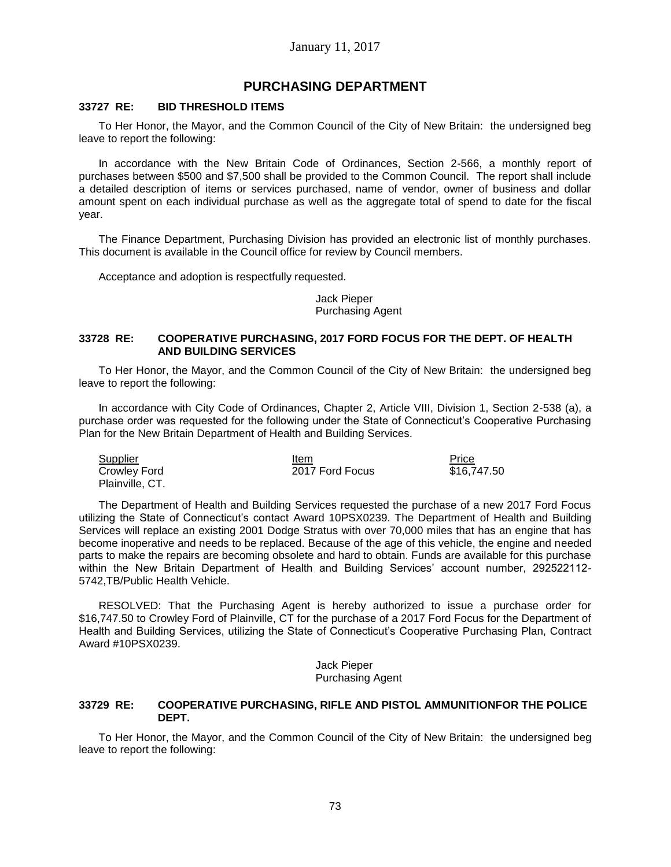# **PURCHASING DEPARTMENT**

### **33727 RE: BID THRESHOLD ITEMS**

To Her Honor, the Mayor, and the Common Council of the City of New Britain: the undersigned beg leave to report the following:

In accordance with the New Britain Code of Ordinances, Section 2-566, a monthly report of purchases between \$500 and \$7,500 shall be provided to the Common Council. The report shall include a detailed description of items or services purchased, name of vendor, owner of business and dollar amount spent on each individual purchase as well as the aggregate total of spend to date for the fiscal year.

The Finance Department, Purchasing Division has provided an electronic list of monthly purchases. This document is available in the Council office for review by Council members.

Acceptance and adoption is respectfully requested.

### Jack Pieper Purchasing Agent

### **33728 RE: COOPERATIVE PURCHASING, 2017 FORD FOCUS FOR THE DEPT. OF HEALTH AND BUILDING SERVICES**

To Her Honor, the Mayor, and the Common Council of the City of New Britain: the undersigned beg leave to report the following:

In accordance with City Code of Ordinances, Chapter 2, Article VIII, Division 1, Section 2-538 (a), a purchase order was requested for the following under the State of Connecticut's Cooperative Purchasing Plan for the New Britain Department of Health and Building Services.

| <b>Supplier</b> | Item            | <b>Price</b> |
|-----------------|-----------------|--------------|
| Crowley Ford    | 2017 Ford Focus | \$16,747.50  |
| Plainville, CT. |                 |              |

The Department of Health and Building Services requested the purchase of a new 2017 Ford Focus utilizing the State of Connecticut's contact Award 10PSX0239. The Department of Health and Building Services will replace an existing 2001 Dodge Stratus with over 70,000 miles that has an engine that has become inoperative and needs to be replaced. Because of the age of this vehicle, the engine and needed parts to make the repairs are becoming obsolete and hard to obtain. Funds are available for this purchase within the New Britain Department of Health and Building Services' account number, 292522112- 5742,TB/Public Health Vehicle.

RESOLVED: That the Purchasing Agent is hereby authorized to issue a purchase order for \$16,747.50 to Crowley Ford of Plainville, CT for the purchase of a 2017 Ford Focus for the Department of Health and Building Services, utilizing the State of Connecticut's Cooperative Purchasing Plan, Contract Award #10PSX0239.

> Jack Pieper Purchasing Agent

#### **33729 RE: COOPERATIVE PURCHASING, RIFLE AND PISTOL AMMUNITIONFOR THE POLICE DEPT.**

To Her Honor, the Mayor, and the Common Council of the City of New Britain: the undersigned beg leave to report the following: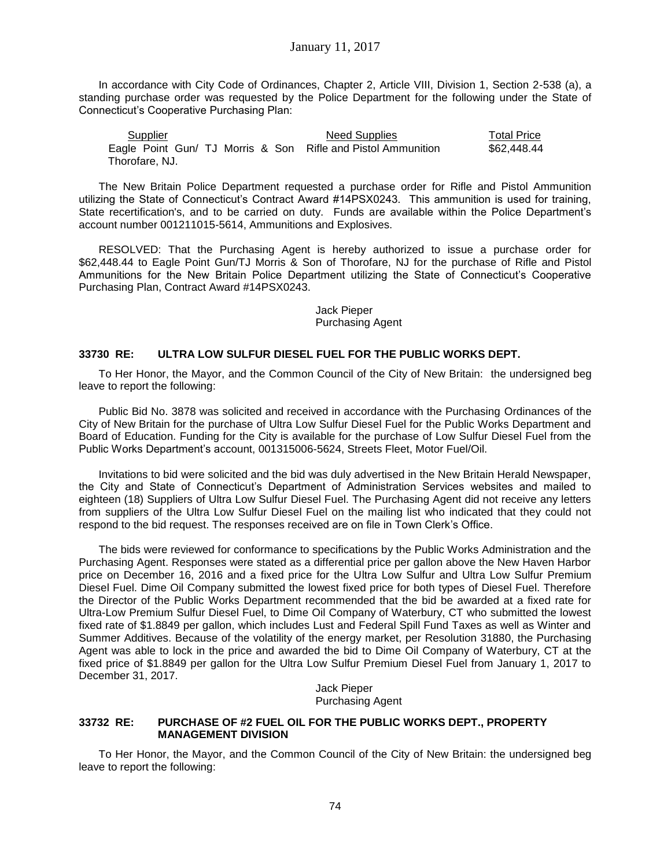In accordance with City Code of Ordinances, Chapter 2, Article VIII, Division 1, Section 2-538 (a), a standing purchase order was requested by the Police Department for the following under the State of Connecticut's Cooperative Purchasing Plan:

Supplier **Need Supplies** Total Price Eagle Point Gun/ TJ Morris & Son Rifle and Pistol Ammunition \$62,448.44 Thorofare, NJ.

The New Britain Police Department requested a purchase order for Rifle and Pistol Ammunition utilizing the State of Connecticut's Contract Award #14PSX0243. This ammunition is used for training, State recertification's, and to be carried on duty. Funds are available within the Police Department's account number 001211015-5614, Ammunitions and Explosives.

RESOLVED: That the Purchasing Agent is hereby authorized to issue a purchase order for \$62,448.44 to Eagle Point Gun/TJ Morris & Son of Thorofare, NJ for the purchase of Rifle and Pistol Ammunitions for the New Britain Police Department utilizing the State of Connecticut's Cooperative Purchasing Plan, Contract Award #14PSX0243.

## Jack Pieper Purchasing Agent

### **33730 RE: ULTRA LOW SULFUR DIESEL FUEL FOR THE PUBLIC WORKS DEPT.**

To Her Honor, the Mayor, and the Common Council of the City of New Britain: the undersigned beg leave to report the following:

Public Bid No. 3878 was solicited and received in accordance with the Purchasing Ordinances of the City of New Britain for the purchase of Ultra Low Sulfur Diesel Fuel for the Public Works Department and Board of Education. Funding for the City is available for the purchase of Low Sulfur Diesel Fuel from the Public Works Department's account, 001315006-5624, Streets Fleet, Motor Fuel/Oil.

Invitations to bid were solicited and the bid was duly advertised in the New Britain Herald Newspaper, the City and State of Connecticut's Department of Administration Services websites and mailed to eighteen (18) Suppliers of Ultra Low Sulfur Diesel Fuel. The Purchasing Agent did not receive any letters from suppliers of the Ultra Low Sulfur Diesel Fuel on the mailing list who indicated that they could not respond to the bid request. The responses received are on file in Town Clerk's Office.

The bids were reviewed for conformance to specifications by the Public Works Administration and the Purchasing Agent. Responses were stated as a differential price per gallon above the New Haven Harbor price on December 16, 2016 and a fixed price for the Ultra Low Sulfur and Ultra Low Sulfur Premium Diesel Fuel. Dime Oil Company submitted the lowest fixed price for both types of Diesel Fuel. Therefore the Director of the Public Works Department recommended that the bid be awarded at a fixed rate for Ultra-Low Premium Sulfur Diesel Fuel, to Dime Oil Company of Waterbury, CT who submitted the lowest fixed rate of \$1.8849 per gallon, which includes Lust and Federal Spill Fund Taxes as well as Winter and Summer Additives. Because of the volatility of the energy market, per Resolution 31880, the Purchasing Agent was able to lock in the price and awarded the bid to Dime Oil Company of Waterbury, CT at the fixed price of \$1.8849 per gallon for the Ultra Low Sulfur Premium Diesel Fuel from January 1, 2017 to December 31, 2017.

 Jack Pieper Purchasing Agent

## **33732 RE: PURCHASE OF #2 FUEL OIL FOR THE PUBLIC WORKS DEPT., PROPERTY MANAGEMENT DIVISION**

To Her Honor, the Mayor, and the Common Council of the City of New Britain: the undersigned beg leave to report the following: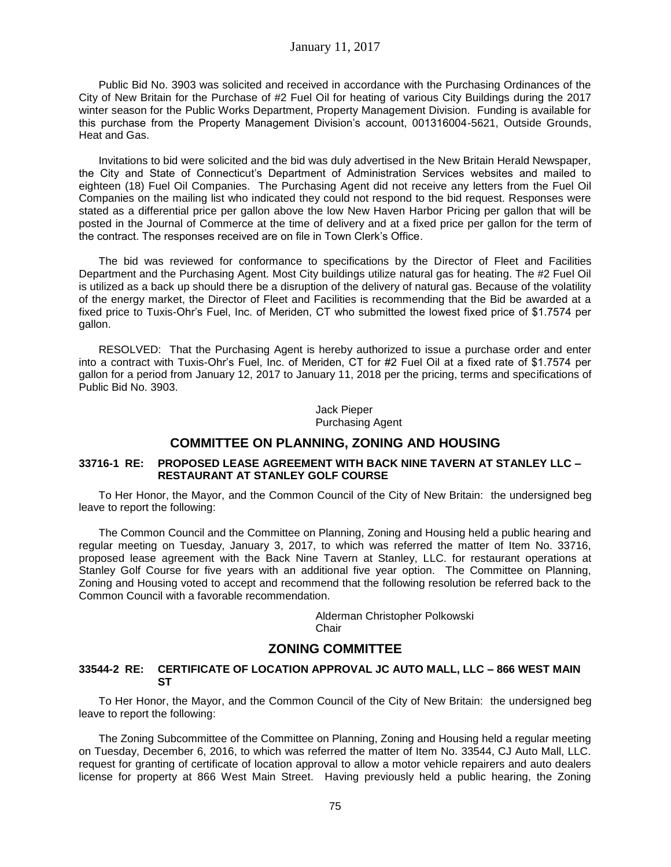Public Bid No. 3903 was solicited and received in accordance with the Purchasing Ordinances of the City of New Britain for the Purchase of #2 Fuel Oil for heating of various City Buildings during the 2017 winter season for the Public Works Department, Property Management Division. Funding is available for this purchase from the Property Management Division's account, 001316004-5621, Outside Grounds, Heat and Gas.

Invitations to bid were solicited and the bid was duly advertised in the New Britain Herald Newspaper, the City and State of Connecticut's Department of Administration Services websites and mailed to eighteen (18) Fuel Oil Companies. The Purchasing Agent did not receive any letters from the Fuel Oil Companies on the mailing list who indicated they could not respond to the bid request. Responses were stated as a differential price per gallon above the low New Haven Harbor Pricing per gallon that will be posted in the Journal of Commerce at the time of delivery and at a fixed price per gallon for the term of the contract. The responses received are on file in Town Clerk's Office.

The bid was reviewed for conformance to specifications by the Director of Fleet and Facilities Department and the Purchasing Agent. Most City buildings utilize natural gas for heating. The #2 Fuel Oil is utilized as a back up should there be a disruption of the delivery of natural gas. Because of the volatility of the energy market, the Director of Fleet and Facilities is recommending that the Bid be awarded at a fixed price to Tuxis-Ohr's Fuel, Inc. of Meriden, CT who submitted the lowest fixed price of \$1.7574 per gallon.

RESOLVED: That the Purchasing Agent is hereby authorized to issue a purchase order and enter into a contract with Tuxis-Ohr's Fuel, Inc. of Meriden, CT for #2 Fuel Oil at a fixed rate of \$1.7574 per gallon for a period from January 12, 2017 to January 11, 2018 per the pricing, terms and specifications of Public Bid No. 3903.

> Jack Pieper Purchasing Agent

# **COMMITTEE ON PLANNING, ZONING AND HOUSING**

### **33716-1 RE: PROPOSED LEASE AGREEMENT WITH BACK NINE TAVERN AT STANLEY LLC – RESTAURANT AT STANLEY GOLF COURSE**

To Her Honor, the Mayor, and the Common Council of the City of New Britain: the undersigned beg leave to report the following:

The Common Council and the Committee on Planning, Zoning and Housing held a public hearing and regular meeting on Tuesday, January 3, 2017, to which was referred the matter of Item No. 33716, proposed lease agreement with the Back Nine Tavern at Stanley, LLC. for restaurant operations at Stanley Golf Course for five years with an additional five year option. The Committee on Planning, Zoning and Housing voted to accept and recommend that the following resolution be referred back to the Common Council with a favorable recommendation.

> Alderman Christopher Polkowski **Chair**

# **ZONING COMMITTEE**

### **33544-2 RE: CERTIFICATE OF LOCATION APPROVAL JC AUTO MALL, LLC – 866 WEST MAIN ST**

To Her Honor, the Mayor, and the Common Council of the City of New Britain: the undersigned beg leave to report the following:

The Zoning Subcommittee of the Committee on Planning, Zoning and Housing held a regular meeting on Tuesday, December 6, 2016, to which was referred the matter of Item No. 33544, CJ Auto Mall, LLC. request for granting of certificate of location approval to allow a motor vehicle repairers and auto dealers license for property at 866 West Main Street. Having previously held a public hearing, the Zoning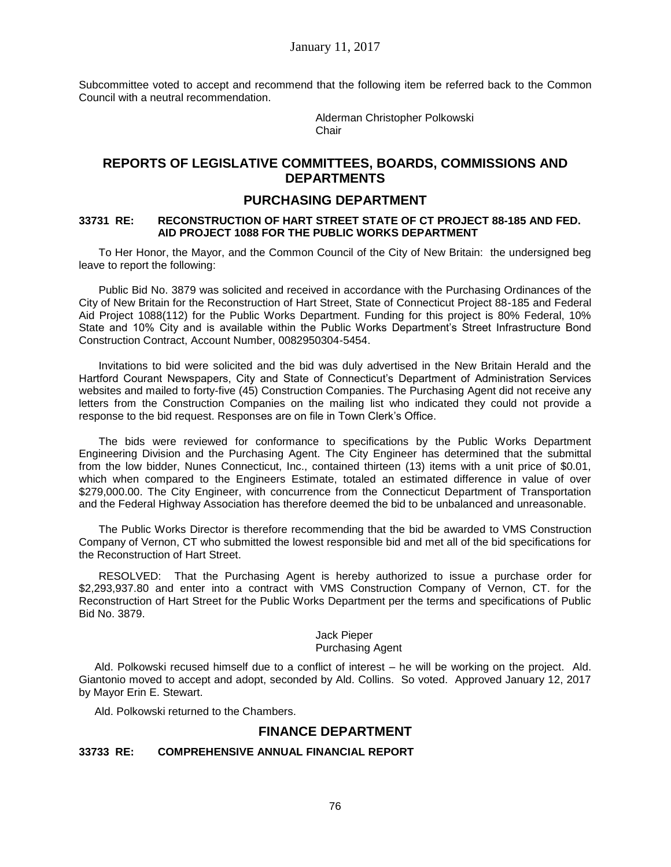Subcommittee voted to accept and recommend that the following item be referred back to the Common Council with a neutral recommendation.

> Alderman Christopher Polkowski **Chair**

# **REPORTS OF LEGISLATIVE COMMITTEES, BOARDS, COMMISSIONS AND DEPARTMENTS**

# **PURCHASING DEPARTMENT**

### **33731 RE: RECONSTRUCTION OF HART STREET STATE OF CT PROJECT 88-185 AND FED. AID PROJECT 1088 FOR THE PUBLIC WORKS DEPARTMENT**

To Her Honor, the Mayor, and the Common Council of the City of New Britain: the undersigned beg leave to report the following:

Public Bid No. 3879 was solicited and received in accordance with the Purchasing Ordinances of the City of New Britain for the Reconstruction of Hart Street, State of Connecticut Project 88-185 and Federal Aid Project 1088(112) for the Public Works Department. Funding for this project is 80% Federal, 10% State and 10% City and is available within the Public Works Department's Street Infrastructure Bond Construction Contract, Account Number, 0082950304-5454.

Invitations to bid were solicited and the bid was duly advertised in the New Britain Herald and the Hartford Courant Newspapers, City and State of Connecticut's Department of Administration Services websites and mailed to forty-five (45) Construction Companies. The Purchasing Agent did not receive any letters from the Construction Companies on the mailing list who indicated they could not provide a response to the bid request. Responses are on file in Town Clerk's Office.

The bids were reviewed for conformance to specifications by the Public Works Department Engineering Division and the Purchasing Agent. The City Engineer has determined that the submittal from the low bidder, Nunes Connecticut, Inc., contained thirteen (13) items with a unit price of \$0.01, which when compared to the Engineers Estimate, totaled an estimated difference in value of over \$279,000.00. The City Engineer, with concurrence from the Connecticut Department of Transportation and the Federal Highway Association has therefore deemed the bid to be unbalanced and unreasonable.

The Public Works Director is therefore recommending that the bid be awarded to VMS Construction Company of Vernon, CT who submitted the lowest responsible bid and met all of the bid specifications for the Reconstruction of Hart Street.

RESOLVED: That the Purchasing Agent is hereby authorized to issue a purchase order for \$2,293,937.80 and enter into a contract with VMS Construction Company of Vernon, CT. for the Reconstruction of Hart Street for the Public Works Department per the terms and specifications of Public Bid No. 3879.

# Jack Pieper

#### Purchasing Agent

Ald. Polkowski recused himself due to a conflict of interest – he will be working on the project. Ald. Giantonio moved to accept and adopt, seconded by Ald. Collins. So voted. Approved January 12, 2017 by Mayor Erin E. Stewart.

Ald. Polkowski returned to the Chambers.

# **FINANCE DEPARTMENT**

### **33733 RE: COMPREHENSIVE ANNUAL FINANCIAL REPORT**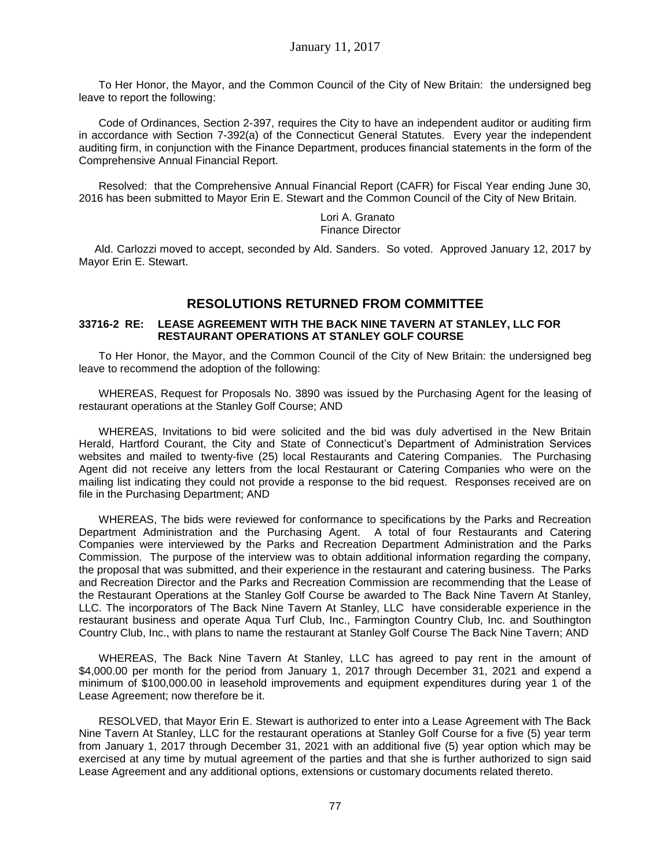To Her Honor, the Mayor, and the Common Council of the City of New Britain: the undersigned beg leave to report the following:

Code of Ordinances, Section 2-397, requires the City to have an independent auditor or auditing firm in accordance with Section 7-392(a) of the Connecticut General Statutes. Every year the independent auditing firm, in conjunction with the Finance Department, produces financial statements in the form of the Comprehensive Annual Financial Report.

Resolved: that the Comprehensive Annual Financial Report (CAFR) for Fiscal Year ending June 30, 2016 has been submitted to Mayor Erin E. Stewart and the Common Council of the City of New Britain.

> Lori A. Granato Finance Director

Ald. Carlozzi moved to accept, seconded by Ald. Sanders. So voted. Approved January 12, 2017 by Mayor Erin E. Stewart.

# **RESOLUTIONS RETURNED FROM COMMITTEE**

### **33716-2 RE: LEASE AGREEMENT WITH THE BACK NINE TAVERN AT STANLEY, LLC FOR RESTAURANT OPERATIONS AT STANLEY GOLF COURSE**

To Her Honor, the Mayor, and the Common Council of the City of New Britain: the undersigned beg leave to recommend the adoption of the following:

WHEREAS, Request for Proposals No. 3890 was issued by the Purchasing Agent for the leasing of restaurant operations at the Stanley Golf Course; AND

WHEREAS, Invitations to bid were solicited and the bid was duly advertised in the New Britain Herald, Hartford Courant, the City and State of Connecticut's Department of Administration Services websites and mailed to twenty-five (25) local Restaurants and Catering Companies. The Purchasing Agent did not receive any letters from the local Restaurant or Catering Companies who were on the mailing list indicating they could not provide a response to the bid request. Responses received are on file in the Purchasing Department; AND

WHEREAS, The bids were reviewed for conformance to specifications by the Parks and Recreation Department Administration and the Purchasing Agent. A total of four Restaurants and Catering Companies were interviewed by the Parks and Recreation Department Administration and the Parks Commission. The purpose of the interview was to obtain additional information regarding the company, the proposal that was submitted, and their experience in the restaurant and catering business. The Parks and Recreation Director and the Parks and Recreation Commission are recommending that the Lease of the Restaurant Operations at the Stanley Golf Course be awarded to The Back Nine Tavern At Stanley, LLC. The incorporators of The Back Nine Tavern At Stanley, LLC have considerable experience in the restaurant business and operate Aqua Turf Club, Inc., Farmington Country Club, Inc. and Southington Country Club, Inc., with plans to name the restaurant at Stanley Golf Course The Back Nine Tavern; AND

WHEREAS, The Back Nine Tavern At Stanley, LLC has agreed to pay rent in the amount of \$4,000.00 per month for the period from January 1, 2017 through December 31, 2021 and expend a minimum of \$100,000.00 in leasehold improvements and equipment expenditures during year 1 of the Lease Agreement; now therefore be it.

RESOLVED, that Mayor Erin E. Stewart is authorized to enter into a Lease Agreement with The Back Nine Tavern At Stanley, LLC for the restaurant operations at Stanley Golf Course for a five (5) year term from January 1, 2017 through December 31, 2021 with an additional five (5) year option which may be exercised at any time by mutual agreement of the parties and that she is further authorized to sign said Lease Agreement and any additional options, extensions or customary documents related thereto.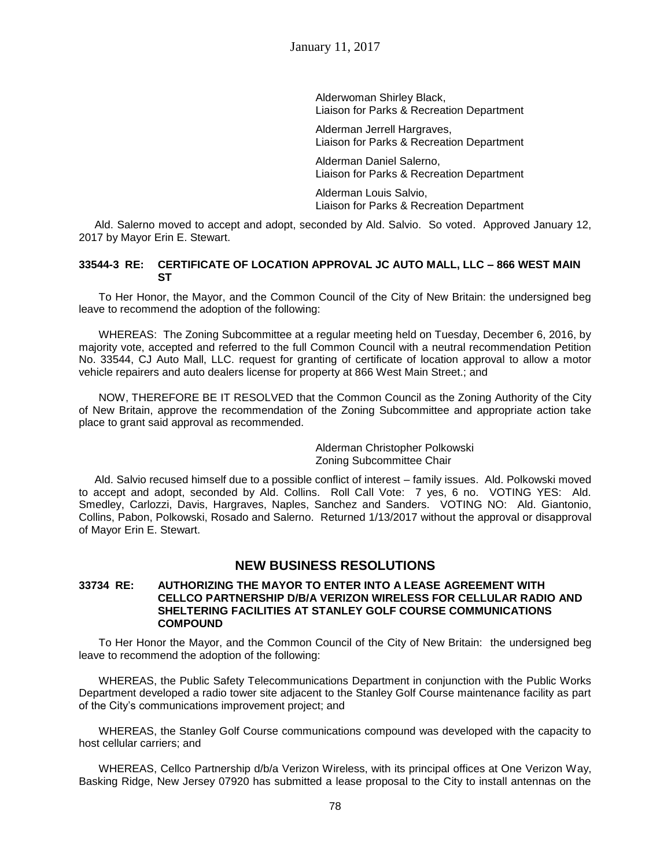Alderwoman Shirley Black, Liaison for Parks & Recreation Department

Alderman Jerrell Hargraves, Liaison for Parks & Recreation Department

Alderman Daniel Salerno, Liaison for Parks & Recreation Department

Alderman Louis Salvio, Liaison for Parks & Recreation Department

Ald. Salerno moved to accept and adopt, seconded by Ald. Salvio. So voted. Approved January 12, 2017 by Mayor Erin E. Stewart.

### **33544-3 RE: CERTIFICATE OF LOCATION APPROVAL JC AUTO MALL, LLC – 866 WEST MAIN ST**

To Her Honor, the Mayor, and the Common Council of the City of New Britain: the undersigned beg leave to recommend the adoption of the following:

WHEREAS: The Zoning Subcommittee at a regular meeting held on Tuesday, December 6, 2016, by majority vote, accepted and referred to the full Common Council with a neutral recommendation Petition No. 33544, CJ Auto Mall, LLC. request for granting of certificate of location approval to allow a motor vehicle repairers and auto dealers license for property at 866 West Main Street.; and

NOW, THEREFORE BE IT RESOLVED that the Common Council as the Zoning Authority of the City of New Britain, approve the recommendation of the Zoning Subcommittee and appropriate action take place to grant said approval as recommended.

> Alderman Christopher Polkowski Zoning Subcommittee Chair

Ald. Salvio recused himself due to a possible conflict of interest – family issues. Ald. Polkowski moved to accept and adopt, seconded by Ald. Collins. Roll Call Vote: 7 yes, 6 no. VOTING YES: Ald. Smedley, Carlozzi, Davis, Hargraves, Naples, Sanchez and Sanders. VOTING NO: Ald. Giantonio, Collins, Pabon, Polkowski, Rosado and Salerno. Returned 1/13/2017 without the approval or disapproval of Mayor Erin E. Stewart.

# **NEW BUSINESS RESOLUTIONS**

### **33734 RE: AUTHORIZING THE MAYOR TO ENTER INTO A LEASE AGREEMENT WITH CELLCO PARTNERSHIP D/B/A VERIZON WIRELESS FOR CELLULAR RADIO AND SHELTERING FACILITIES AT STANLEY GOLF COURSE COMMUNICATIONS COMPOUND**

To Her Honor the Mayor, and the Common Council of the City of New Britain: the undersigned beg leave to recommend the adoption of the following:

WHEREAS, the Public Safety Telecommunications Department in conjunction with the Public Works Department developed a radio tower site adjacent to the Stanley Golf Course maintenance facility as part of the City's communications improvement project; and

WHEREAS, the Stanley Golf Course communications compound was developed with the capacity to host cellular carriers; and

WHEREAS, Cellco Partnership d/b/a Verizon Wireless, with its principal offices at One Verizon Way, Basking Ridge, New Jersey 07920 has submitted a lease proposal to the City to install antennas on the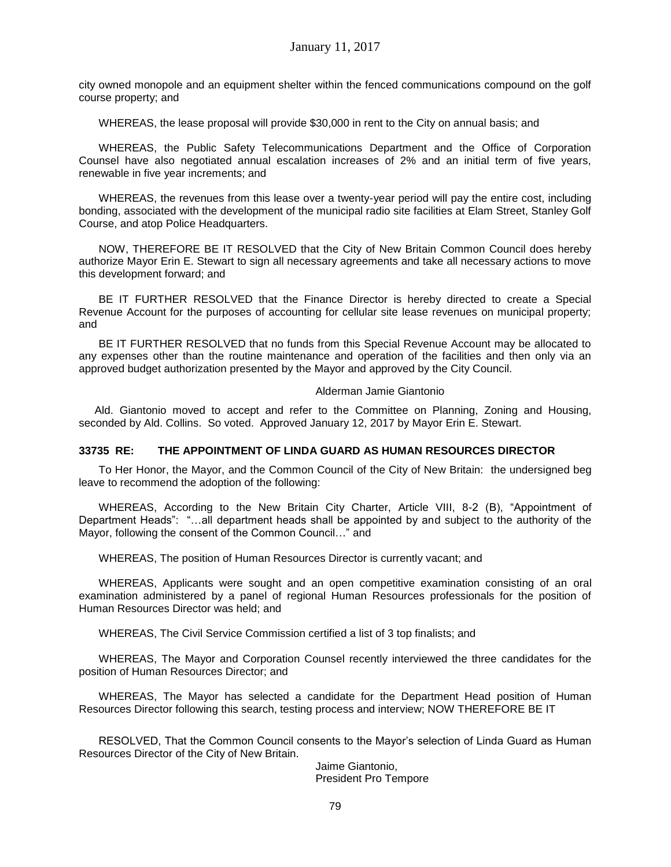city owned monopole and an equipment shelter within the fenced communications compound on the golf course property; and

WHEREAS, the lease proposal will provide \$30,000 in rent to the City on annual basis; and

WHEREAS, the Public Safety Telecommunications Department and the Office of Corporation Counsel have also negotiated annual escalation increases of 2% and an initial term of five years, renewable in five year increments; and

WHEREAS, the revenues from this lease over a twenty-year period will pay the entire cost, including bonding, associated with the development of the municipal radio site facilities at Elam Street, Stanley Golf Course, and atop Police Headquarters.

NOW, THEREFORE BE IT RESOLVED that the City of New Britain Common Council does hereby authorize Mayor Erin E. Stewart to sign all necessary agreements and take all necessary actions to move this development forward; and

BE IT FURTHER RESOLVED that the Finance Director is hereby directed to create a Special Revenue Account for the purposes of accounting for cellular site lease revenues on municipal property; and

BE IT FURTHER RESOLVED that no funds from this Special Revenue Account may be allocated to any expenses other than the routine maintenance and operation of the facilities and then only via an approved budget authorization presented by the Mayor and approved by the City Council.

#### Alderman Jamie Giantonio

Ald. Giantonio moved to accept and refer to the Committee on Planning, Zoning and Housing, seconded by Ald. Collins. So voted. Approved January 12, 2017 by Mayor Erin E. Stewart.

## **33735 RE: THE APPOINTMENT OF LINDA GUARD AS HUMAN RESOURCES DIRECTOR**

To Her Honor, the Mayor, and the Common Council of the City of New Britain: the undersigned beg leave to recommend the adoption of the following:

WHEREAS, According to the New Britain City Charter, Article VIII, 8-2 (B), "Appointment of Department Heads": "…all department heads shall be appointed by and subject to the authority of the Mayor, following the consent of the Common Council…" and

WHEREAS, The position of Human Resources Director is currently vacant; and

WHEREAS, Applicants were sought and an open competitive examination consisting of an oral examination administered by a panel of regional Human Resources professionals for the position of Human Resources Director was held; and

WHEREAS, The Civil Service Commission certified a list of 3 top finalists; and

WHEREAS, The Mayor and Corporation Counsel recently interviewed the three candidates for the position of Human Resources Director; and

WHEREAS, The Mayor has selected a candidate for the Department Head position of Human Resources Director following this search, testing process and interview; NOW THEREFORE BE IT

RESOLVED, That the Common Council consents to the Mayor's selection of Linda Guard as Human Resources Director of the City of New Britain.

> Jaime Giantonio, President Pro Tempore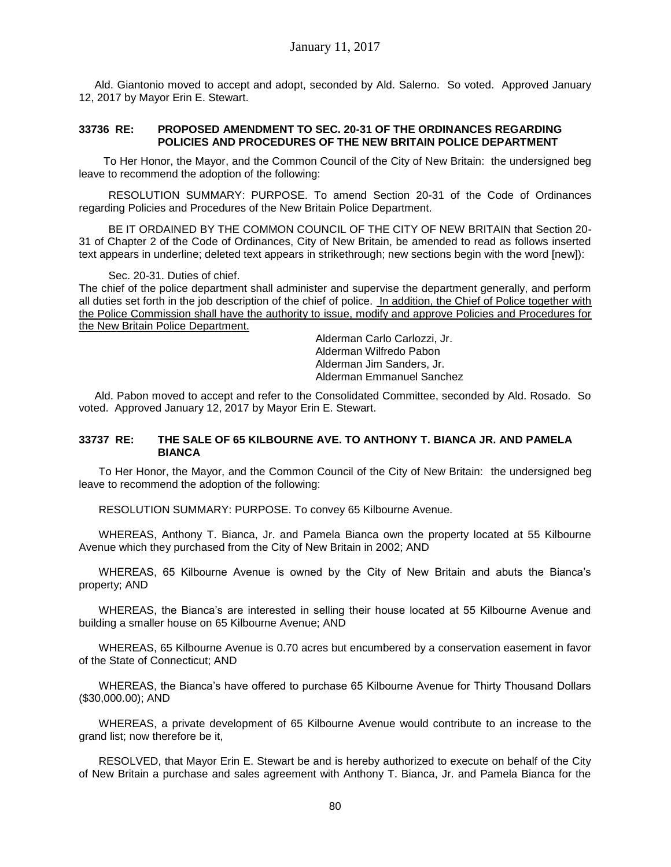Ald. Giantonio moved to accept and adopt, seconded by Ald. Salerno. So voted. Approved January 12, 2017 by Mayor Erin E. Stewart.

### **33736 RE: PROPOSED AMENDMENT TO SEC. 20-31 OF THE ORDINANCES REGARDING POLICIES AND PROCEDURES OF THE NEW BRITAIN POLICE DEPARTMENT**

To Her Honor, the Mayor, and the Common Council of the City of New Britain: the undersigned beg leave to recommend the adoption of the following:

RESOLUTION SUMMARY: PURPOSE. To amend Section 20-31 of the Code of Ordinances regarding Policies and Procedures of the New Britain Police Department.

BE IT ORDAINED BY THE COMMON COUNCIL OF THE CITY OF NEW BRITAIN that Section 20- 31 of Chapter 2 of the Code of Ordinances, City of New Britain, be amended to read as follows inserted text appears in underline; deleted text appears in strikethrough; new sections begin with the word [new]):

#### Sec. 20-31. Duties of chief.

The chief of the police department shall administer and supervise the department generally, and perform all duties set forth in the job description of the chief of police. In addition, the Chief of Police together with the Police Commission shall have the authority to issue, modify and approve Policies and Procedures for the New Britain Police Department.

Alderman Carlo Carlozzi, Jr. Alderman Wilfredo Pabon Alderman Jim Sanders, Jr. Alderman Emmanuel Sanchez

Ald. Pabon moved to accept and refer to the Consolidated Committee, seconded by Ald. Rosado. So voted. Approved January 12, 2017 by Mayor Erin E. Stewart.

### **33737 RE: THE SALE OF 65 KILBOURNE AVE. TO ANTHONY T. BIANCA JR. AND PAMELA BIANCA**

To Her Honor, the Mayor, and the Common Council of the City of New Britain: the undersigned beg leave to recommend the adoption of the following:

RESOLUTION SUMMARY: PURPOSE. To convey 65 Kilbourne Avenue.

WHEREAS, Anthony T. Bianca, Jr. and Pamela Bianca own the property located at 55 Kilbourne Avenue which they purchased from the City of New Britain in 2002; AND

WHEREAS, 65 Kilbourne Avenue is owned by the City of New Britain and abuts the Bianca's property; AND

WHEREAS, the Bianca's are interested in selling their house located at 55 Kilbourne Avenue and building a smaller house on 65 Kilbourne Avenue; AND

WHEREAS, 65 Kilbourne Avenue is 0.70 acres but encumbered by a conservation easement in favor of the State of Connecticut; AND

WHEREAS, the Bianca's have offered to purchase 65 Kilbourne Avenue for Thirty Thousand Dollars (\$30,000.00); AND

WHEREAS, a private development of 65 Kilbourne Avenue would contribute to an increase to the grand list; now therefore be it,

RESOLVED, that Mayor Erin E. Stewart be and is hereby authorized to execute on behalf of the City of New Britain a purchase and sales agreement with Anthony T. Bianca, Jr. and Pamela Bianca for the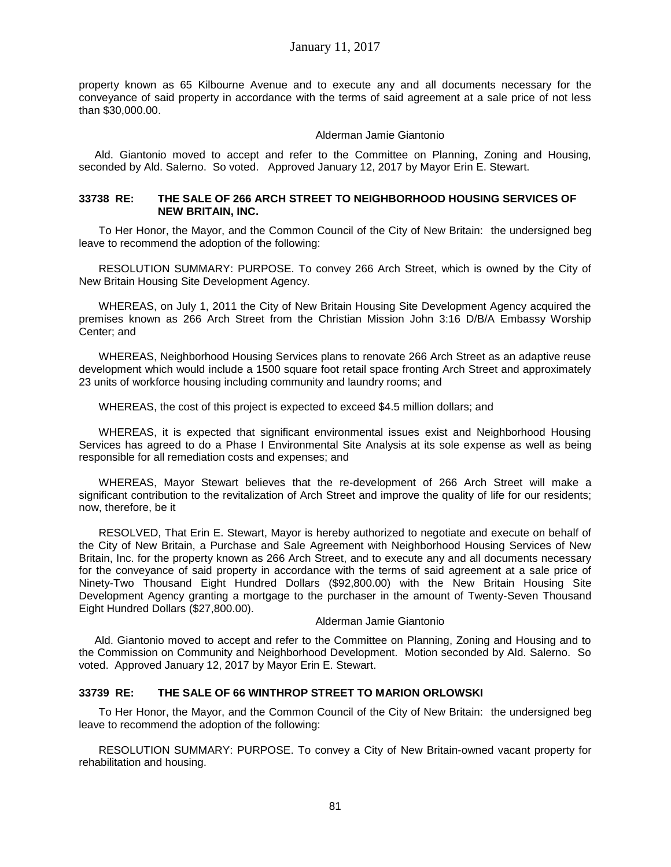property known as 65 Kilbourne Avenue and to execute any and all documents necessary for the conveyance of said property in accordance with the terms of said agreement at a sale price of not less than \$30,000.00.

### Alderman Jamie Giantonio

Ald. Giantonio moved to accept and refer to the Committee on Planning, Zoning and Housing, seconded by Ald. Salerno. So voted. Approved January 12, 2017 by Mayor Erin E. Stewart.

#### **33738 RE: THE SALE OF 266 ARCH STREET TO NEIGHBORHOOD HOUSING SERVICES OF NEW BRITAIN, INC.**

To Her Honor, the Mayor, and the Common Council of the City of New Britain: the undersigned beg leave to recommend the adoption of the following:

RESOLUTION SUMMARY: PURPOSE. To convey 266 Arch Street, which is owned by the City of New Britain Housing Site Development Agency.

WHEREAS, on July 1, 2011 the City of New Britain Housing Site Development Agency acquired the premises known as 266 Arch Street from the Christian Mission John 3:16 D/B/A Embassy Worship Center; and

WHEREAS, Neighborhood Housing Services plans to renovate 266 Arch Street as an adaptive reuse development which would include a 1500 square foot retail space fronting Arch Street and approximately 23 units of workforce housing including community and laundry rooms; and

WHEREAS, the cost of this project is expected to exceed \$4.5 million dollars; and

WHEREAS, it is expected that significant environmental issues exist and Neighborhood Housing Services has agreed to do a Phase I Environmental Site Analysis at its sole expense as well as being responsible for all remediation costs and expenses; and

WHEREAS, Mayor Stewart believes that the re-development of 266 Arch Street will make a significant contribution to the revitalization of Arch Street and improve the quality of life for our residents; now, therefore, be it

RESOLVED, That Erin E. Stewart, Mayor is hereby authorized to negotiate and execute on behalf of the City of New Britain, a Purchase and Sale Agreement with Neighborhood Housing Services of New Britain, Inc. for the property known as 266 Arch Street, and to execute any and all documents necessary for the conveyance of said property in accordance with the terms of said agreement at a sale price of Ninety-Two Thousand Eight Hundred Dollars (\$92,800.00) with the New Britain Housing Site Development Agency granting a mortgage to the purchaser in the amount of Twenty-Seven Thousand Eight Hundred Dollars (\$27,800.00).

### Alderman Jamie Giantonio

Ald. Giantonio moved to accept and refer to the Committee on Planning, Zoning and Housing and to the Commission on Community and Neighborhood Development. Motion seconded by Ald. Salerno. So voted. Approved January 12, 2017 by Mayor Erin E. Stewart.

### **33739 RE: THE SALE OF 66 WINTHROP STREET TO MARION ORLOWSKI**

To Her Honor, the Mayor, and the Common Council of the City of New Britain: the undersigned beg leave to recommend the adoption of the following:

RESOLUTION SUMMARY: PURPOSE. To convey a City of New Britain-owned vacant property for rehabilitation and housing.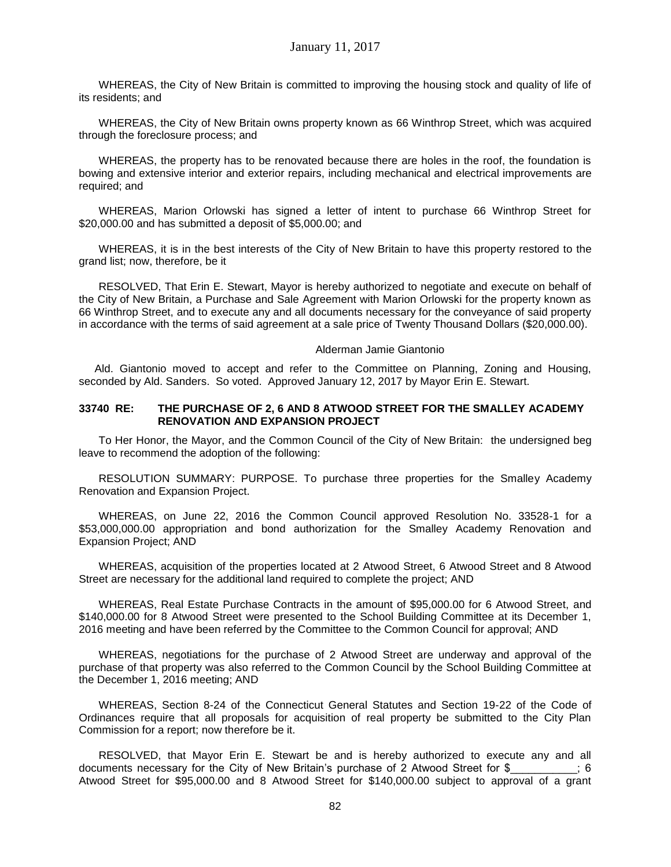WHEREAS, the City of New Britain is committed to improving the housing stock and quality of life of its residents; and

WHEREAS, the City of New Britain owns property known as 66 Winthrop Street, which was acquired through the foreclosure process; and

WHEREAS, the property has to be renovated because there are holes in the roof, the foundation is bowing and extensive interior and exterior repairs, including mechanical and electrical improvements are required; and

WHEREAS, Marion Orlowski has signed a letter of intent to purchase 66 Winthrop Street for \$20,000.00 and has submitted a deposit of \$5,000.00; and

WHEREAS, it is in the best interests of the City of New Britain to have this property restored to the grand list; now, therefore, be it

RESOLVED, That Erin E. Stewart, Mayor is hereby authorized to negotiate and execute on behalf of the City of New Britain, a Purchase and Sale Agreement with Marion Orlowski for the property known as 66 Winthrop Street, and to execute any and all documents necessary for the conveyance of said property in accordance with the terms of said agreement at a sale price of Twenty Thousand Dollars (\$20,000.00).

#### Alderman Jamie Giantonio

Ald. Giantonio moved to accept and refer to the Committee on Planning, Zoning and Housing, seconded by Ald. Sanders. So voted. Approved January 12, 2017 by Mayor Erin E. Stewart.

### **33740 RE: THE PURCHASE OF 2, 6 AND 8 ATWOOD STREET FOR THE SMALLEY ACADEMY RENOVATION AND EXPANSION PROJECT**

To Her Honor, the Mayor, and the Common Council of the City of New Britain: the undersigned beg leave to recommend the adoption of the following:

RESOLUTION SUMMARY: PURPOSE. To purchase three properties for the Smalley Academy Renovation and Expansion Project.

WHEREAS, on June 22, 2016 the Common Council approved Resolution No. 33528-1 for a \$53,000,000.00 appropriation and bond authorization for the Smalley Academy Renovation and Expansion Project; AND

WHEREAS, acquisition of the properties located at 2 Atwood Street, 6 Atwood Street and 8 Atwood Street are necessary for the additional land required to complete the project; AND

WHEREAS, Real Estate Purchase Contracts in the amount of \$95,000.00 for 6 Atwood Street, and \$140,000.00 for 8 Atwood Street were presented to the School Building Committee at its December 1, 2016 meeting and have been referred by the Committee to the Common Council for approval; AND

WHEREAS, negotiations for the purchase of 2 Atwood Street are underway and approval of the purchase of that property was also referred to the Common Council by the School Building Committee at the December 1, 2016 meeting; AND

WHEREAS, Section 8-24 of the Connecticut General Statutes and Section 19-22 of the Code of Ordinances require that all proposals for acquisition of real property be submitted to the City Plan Commission for a report; now therefore be it.

RESOLVED, that Mayor Erin E. Stewart be and is hereby authorized to execute any and all documents necessary for the City of New Britain's purchase of 2 Atwood Street for \$  $\hspace{1.5cm}$  ; 6 Atwood Street for \$95,000.00 and 8 Atwood Street for \$140,000.00 subject to approval of a grant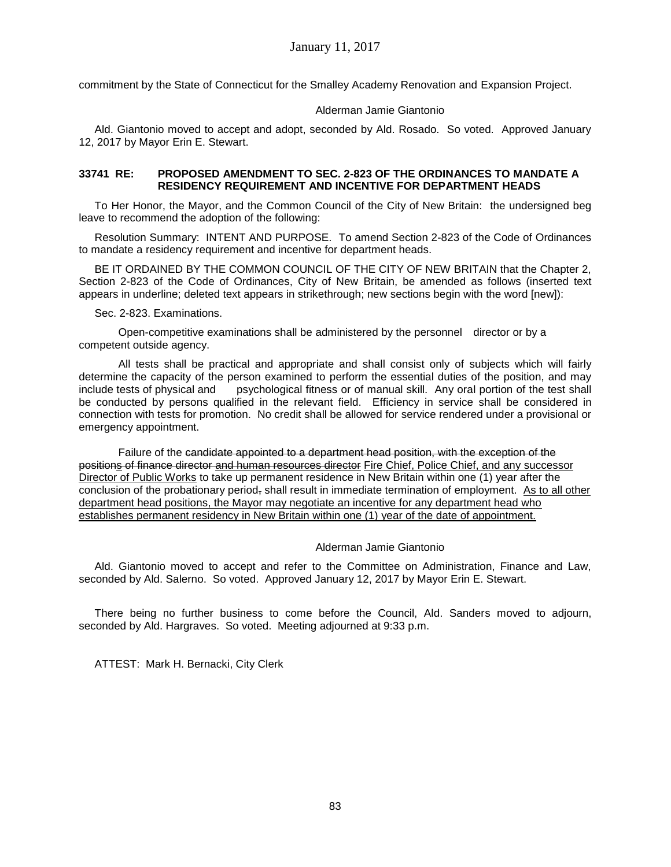commitment by the State of Connecticut for the Smalley Academy Renovation and Expansion Project.

### Alderman Jamie Giantonio

Ald. Giantonio moved to accept and adopt, seconded by Ald. Rosado. So voted. Approved January 12, 2017 by Mayor Erin E. Stewart.

## **33741 RE: PROPOSED AMENDMENT TO SEC. 2-823 OF THE ORDINANCES TO MANDATE A RESIDENCY REQUIREMENT AND INCENTIVE FOR DEPARTMENT HEADS**

To Her Honor, the Mayor, and the Common Council of the City of New Britain: the undersigned beg leave to recommend the adoption of the following:

Resolution Summary: INTENT AND PURPOSE. To amend Section 2-823 of the Code of Ordinances to mandate a residency requirement and incentive for department heads.

BE IT ORDAINED BY THE COMMON COUNCIL OF THE CITY OF NEW BRITAIN that the Chapter 2, Section 2-823 of the Code of Ordinances, City of New Britain, be amended as follows (inserted text appears in underline; deleted text appears in strikethrough; new sections begin with the word [new]):

Sec. 2-823. Examinations.

Open-competitive examinations shall be administered by the personnel director or by a competent outside agency.

All tests shall be practical and appropriate and shall consist only of subjects which will fairly determine the capacity of the person examined to perform the essential duties of the position, and may include tests of physical and psychological fitness or of manual skill. Any oral portion of the test shall be conducted by persons qualified in the relevant field. Efficiency in service shall be considered in connection with tests for promotion. No credit shall be allowed for service rendered under a provisional or emergency appointment.

Failure of the candidate appointed to a department head position, with the exception of the positions of finance director and human resources director Fire Chief, Police Chief, and any successor Director of Public Works to take up permanent residence in New Britain within one (1) year after the conclusion of the probationary period, shall result in immediate termination of employment. As to all other department head positions, the Mayor may negotiate an incentive for any department head who establishes permanent residency in New Britain within one (1) year of the date of appointment.

### Alderman Jamie Giantonio

Ald. Giantonio moved to accept and refer to the Committee on Administration, Finance and Law, seconded by Ald. Salerno. So voted. Approved January 12, 2017 by Mayor Erin E. Stewart.

There being no further business to come before the Council, Ald. Sanders moved to adjourn, seconded by Ald. Hargraves. So voted. Meeting adjourned at 9:33 p.m.

ATTEST: Mark H. Bernacki, City Clerk